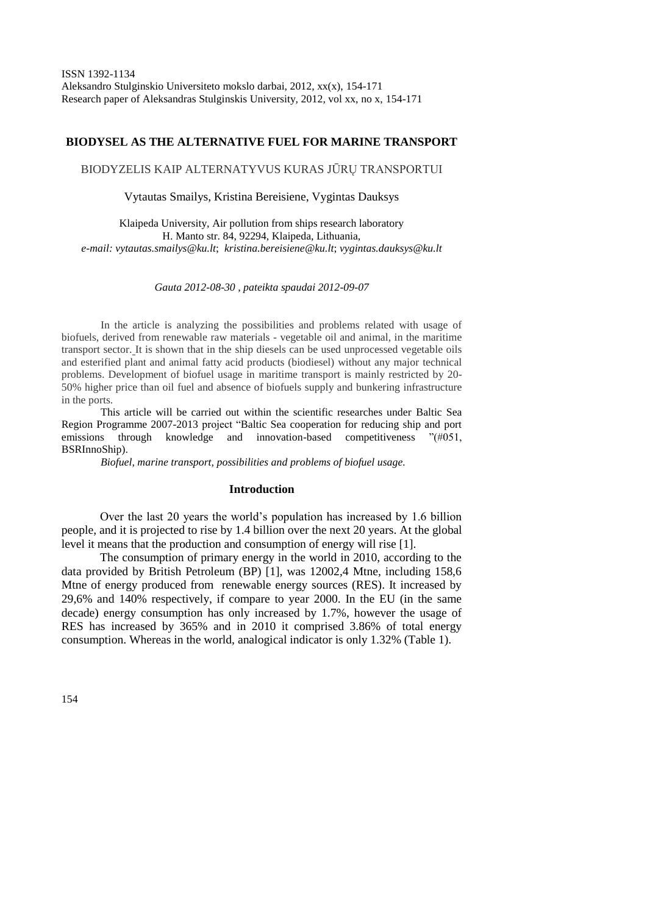# **BIODYSEL AS THE ALTERNATIVE FUEL FOR MARINE TRANSPORT**

BIODYZELIS KAIP ALTERNATYVUS KURAS JŪRŲ TRANSPORTUI

Vytautas Smailys, Kristina Bereisiene, Vygintas Dauksys

Klaipeda University, Air pollution from ships research laboratory H. Manto str. 84, 92294, Klaipeda, Lithuania, *e-mail: [vytautas.smailys@ku.lt](mailto:vytautas.smailys@ku.lt)*; *[kristina.bereisiene@ku.lt](mailto:kristina.bereisiene@ku.lt)*; *[vygintas.dauksys@ku.lt](mailto:vygintas.dauksys@ku.lt)*

*Gauta 2012-08-30 , pateikta spaudai 2012-09-07*

In the article is analyzing the possibilities and problems related with usage of biofuels, derived from renewable raw materials - vegetable oil and animal, in the maritime transport sector. It is shown that in the ship diesels can be used unprocessed vegetable oils and esterified plant and animal fatty acid products (biodiesel) without any major technical problems. Development of biofuel usage in maritime transport is mainly restricted by 20- 50% higher price than oil fuel and absence of biofuels supply and bunkering infrastructure in the ports.

This article will be carried out within the scientific researches under Baltic Sea Region Programme 2007-2013 project "Baltic Sea cooperation for reducing ship and port emissions through knowledge and innovation-based competitiveness "(#051, BSRInnoShip).

*Biofuel, marine transport, possibilities and problems of biofuel usage.*

#### **Introduction**

Over the last 20 years the world's population has increased by 1.6 billion people, and it is projected to rise by 1.4 billion over the next 20 years. At the global level it means that the production and consumption of energy will rise [1].

The consumption of primary energy in the world in 2010, according to the data provided by British Petroleum (BP) [1], was 12002,4 Mtne, including 158,6 Mtne of energy produced from renewable energy sources (RES). It increased by 29,6% and 140% respectively, if compare to year 2000. In the EU (in the same decade) energy consumption has only increased by 1.7%, however the usage of RES has increased by 365% and in 2010 it comprised 3.86% of total energy consumption. Whereas in the world, analogical indicator is only 1.32% (Table 1).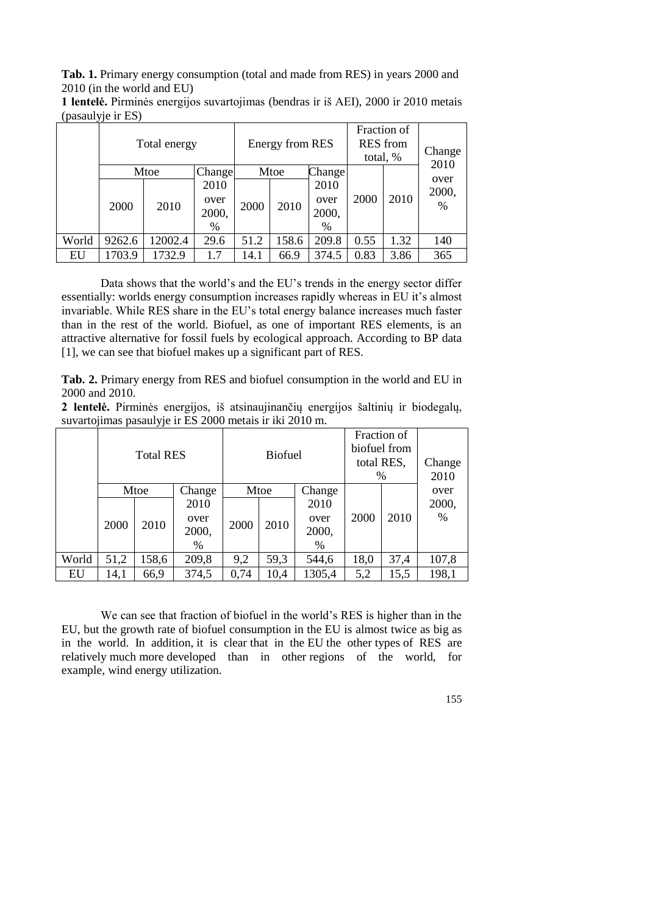**Tab. 1.** Primary energy consumption (total and made from RES) in years 2000 and 2010 (in the world and EU)

| м.    | Total energy |         |        |      | Energy from RES |                     |      | Fraction of<br><b>RES</b> from<br>total, % |               |
|-------|--------------|---------|--------|------|-----------------|---------------------|------|--------------------------------------------|---------------|
|       |              | Mtoe    | Change | Mtoe |                 | Change <sup>1</sup> |      |                                            | 2010          |
|       |              |         | 2010   |      |                 | 2010                |      |                                            | over<br>2000, |
|       | 2000         | 2010    | over   | 2000 | 2010            | over                | 2000 | 2010                                       | %             |
|       |              |         | 2000,  |      |                 | 2000,               |      |                                            |               |
|       |              |         | %      |      |                 | $\%$                |      |                                            |               |
| World | 9262.6       | 12002.4 | 29.6   | 51.2 | 158.6           | 209.8               | 0.55 | 1.32                                       | 140           |
| EU    | 1703.9       | 1732.9  | 1.7    | 14.1 | 66.9            | 374.5               | 0.83 | 3.86                                       | 365           |

**1 lentelė.** Pirminės energijos suvartojimas (bendras ir iš AEI), 2000 ir 2010 metais (pasaulyje ir ES)

Data shows that the world's and the EU's trends in the energy sector differ essentially: worlds energy consumption increases rapidly whereas in EU it's almost invariable. While RES share in the EU's total energy balance increases much faster than in the rest of the world. Biofuel, as one of important RES elements, is an attractive alternative for fossil fuels by ecological approach. According to BP data [1], we can see that biofuel makes up a significant part of RES.

**Tab. 2.** Primary energy from RES and biofuel consumption in the world and EU in 2000 and 2010.

**2 lentelė.** Pirminės energijos, iš atsinaujinančių energijos šaltinių ir biodegalų, suvartojimas pasaulyje ir ES 2000 metais ir iki 2010 m.

|       | <b>Total RES</b> |       | <b>Biofuel</b> |      |      | Fraction of<br>biofuel from<br>total RES,<br>% |      | Change<br>2010 |       |
|-------|------------------|-------|----------------|------|------|------------------------------------------------|------|----------------|-------|
|       |                  | Mtoe  | Change         | Mtoe |      | Change                                         |      |                | over  |
|       |                  |       | 2010           |      |      | 2010                                           |      |                | 2000, |
|       | 2000             | 2010  | over           | 2000 | 2010 | over                                           | 2000 | 2010           | $\%$  |
|       |                  |       | 2000,          |      |      | 2000,                                          |      |                |       |
|       |                  |       | $\%$           |      |      | $\%$                                           |      |                |       |
| World | 51,2             | 158,6 | 209,8          | 9,2  | 59,3 | 544,6                                          | 18,0 | 37,4           | 107,8 |
| EU    | 14,1             | 66,9  | 374,5          | 0,74 | 10,4 | 1305,4                                         | 5,2  | 15,5           | 198,1 |

We can see that fraction of biofuel in the world's RES is higher than in the EU, but the growth rate of biofuel consumption in the EU is almost twice as big as in the world. In addition, it is clear that in the EU the other types of RES are relatively much more developed than in other regions of the world, for example, wind energy utilization.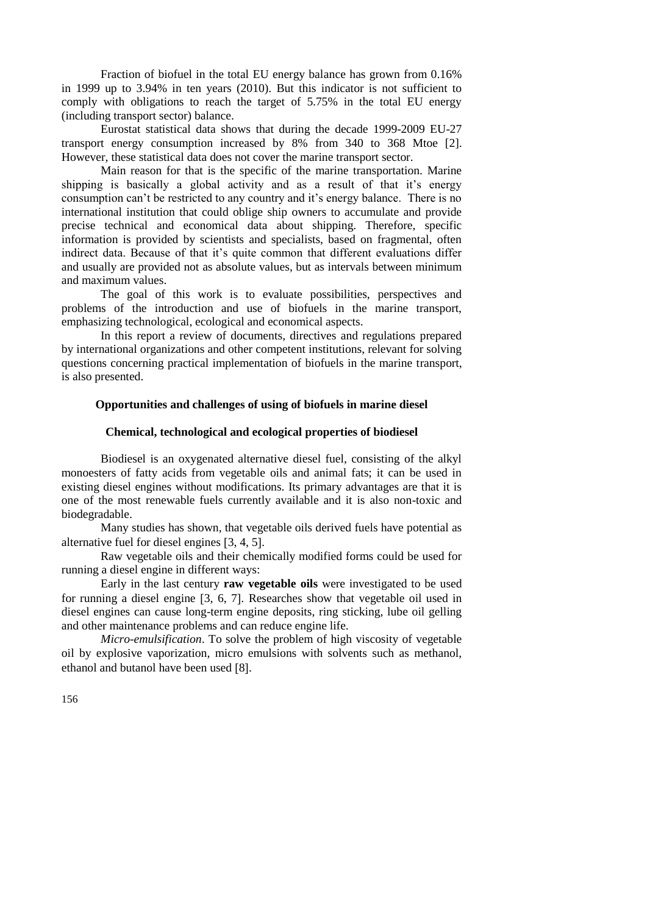Fraction of biofuel in the total EU energy balance has grown from 0.16% in 1999 up to 3.94% in ten years (2010). But this indicator is not sufficient to comply with obligations to reach the target of 5.75% in the total EU energy (including transport sector) balance.

Eurostat statistical data shows that during the decade 1999-2009 EU-27 transport energy consumption increased by 8% from 340 to 368 Mtoe [2]. However, these statistical data does not cover the marine transport sector.

Main reason for that is the specific of the marine transportation. Marine shipping is basically a global activity and as a result of that it's energy consumption can't be restricted to any country and it's energy balance. There is no international institution that could oblige ship owners to accumulate and provide precise technical and economical data about shipping. Therefore, specific information is provided by scientists and specialists, based on fragmental, often indirect data. Because of that it's quite common that different evaluations differ and usually are provided not as absolute values, but as intervals between minimum and maximum values.

The goal of this work is to evaluate possibilities, perspectives and problems of the introduction and use of biofuels in the marine transport, emphasizing technological, ecological and economical aspects.

In this report a review of documents, directives and regulations prepared by international organizations and other competent institutions, relevant for solving questions concerning practical implementation of biofuels in the marine transport, is also presented.

### **Opportunities and challenges of using of biofuels in marine diesel**

### **Chemical, technological and ecological properties of biodiesel**

Biodiesel is an oxygenated alternative diesel fuel, consisting of the alkyl monoesters of fatty acids from vegetable oils and animal fats; it can be used in existing diesel engines without modifications. Its primary advantages are that it is one of the most renewable fuels currently available and it is also non-toxic and biodegradable.

Many studies has shown, that vegetable oils derived fuels have potential as alternative fuel for diesel engines [3, 4, 5].

Raw vegetable oils and their chemically modified forms could be used for running a diesel engine in different ways:

Early in the last century **raw vegetable oils** were investigated to be used for running a diesel engine [3, 6, 7]. Researches show that vegetable oil used in diesel engines can cause long-term engine deposits, ring sticking, lube oil gelling and other maintenance problems and can reduce engine life.

*Micro-emulsification*. To solve the problem of high viscosity of vegetable oil by explosive vaporization, micro emulsions with solvents such as methanol, ethanol and butanol have been used [8].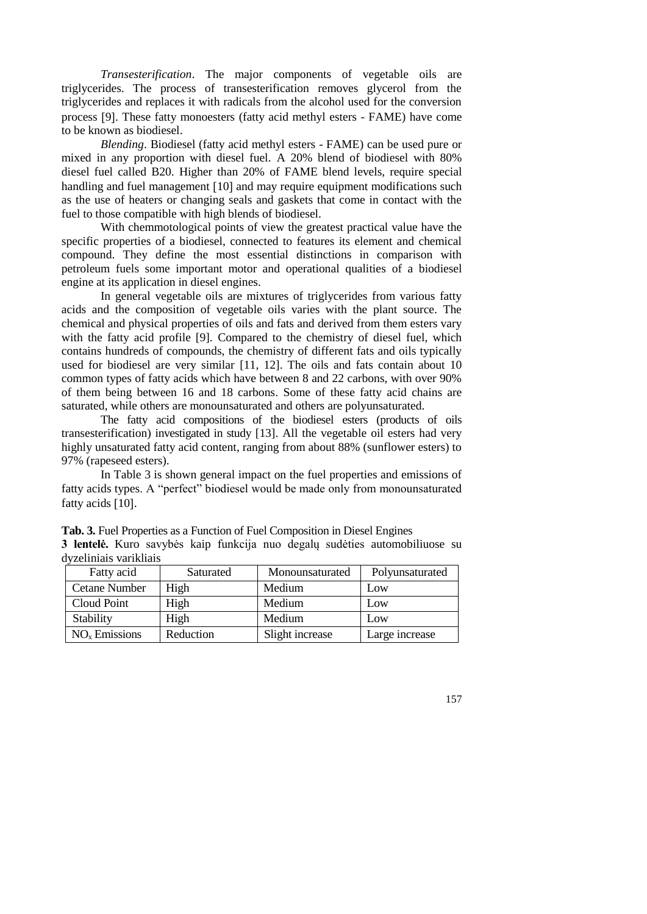*Transesterification*. The major components of vegetable oils are triglycerides. The process of transesterification removes glycerol from the triglycerides and replaces it with radicals from the alcohol used for the conversion process [9]. These fatty monoesters (fatty acid methyl esters - FAME) have come to be known as biodiesel.

*Blending*. Biodiesel (fatty acid methyl esters - FAME) can be used pure or mixed in any proportion with diesel fuel. A 20% blend of biodiesel with 80% diesel fuel called B20. Higher than 20% of FAME blend levels, require special handling and fuel management [10] and may require equipment modifications such as the use of heaters or changing seals and gaskets that come in contact with the fuel to those compatible with high blends of biodiesel.

With chemmotological points of view the greatest practical value have the specific properties of a biodiesel, connected to features its element and chemical compound. They define the most essential distinctions in comparison with petroleum fuels some important motor and operational qualities of a biodiesel engine at its application in diesel engines.

In general vegetable oils are mixtures of triglycerides from various fatty acids and the composition of vegetable oils varies with the plant source. The chemical and physical properties of oils and fats and derived from them esters vary with the fatty acid profile [9]. Compared to the chemistry of diesel fuel, which contains hundreds of compounds, the chemistry of different fats and oils typically used for biodiesel are very similar [11, 12]. The oils and fats contain about 10 common types of fatty acids which have between 8 and 22 carbons, with over 90% of them being between 16 and 18 carbons. Some of these fatty acid chains are saturated, while others are monounsaturated and others are polyunsaturated.

The fatty acid compositions of the biodiesel esters (products of oils transesterification) investigated in study [13]. All the vegetable oil esters had very highly unsaturated fatty acid content, ranging from about 88% (sunflower esters) to 97% (rapeseed esters).

In Table 3 is shown general impact on the fuel properties and emissions of fatty acids types. A "perfect" biodiesel would be made only from monounsaturated fatty acids [10].

| dyzeliniais varikliais |           |                 |                 |
|------------------------|-----------|-----------------|-----------------|
| Fatty acid             | Saturated | Monounsaturated | Polyunsaturated |
| <b>Cetane Number</b>   | High      | Medium          | Low             |
| Cloud Point            | High      | Medium          | Low             |
| Stability              | High      | Medium          | Low             |

 $NO<sub>x</sub>$  Emissions Reduction Slight increase Large increase

**Tab. 3.** Fuel Properties as a Function of Fuel Composition in Diesel Engines **3 lentelė.** Kuro savybės kaip funkcija nuo degalų sudėties automobiliuose su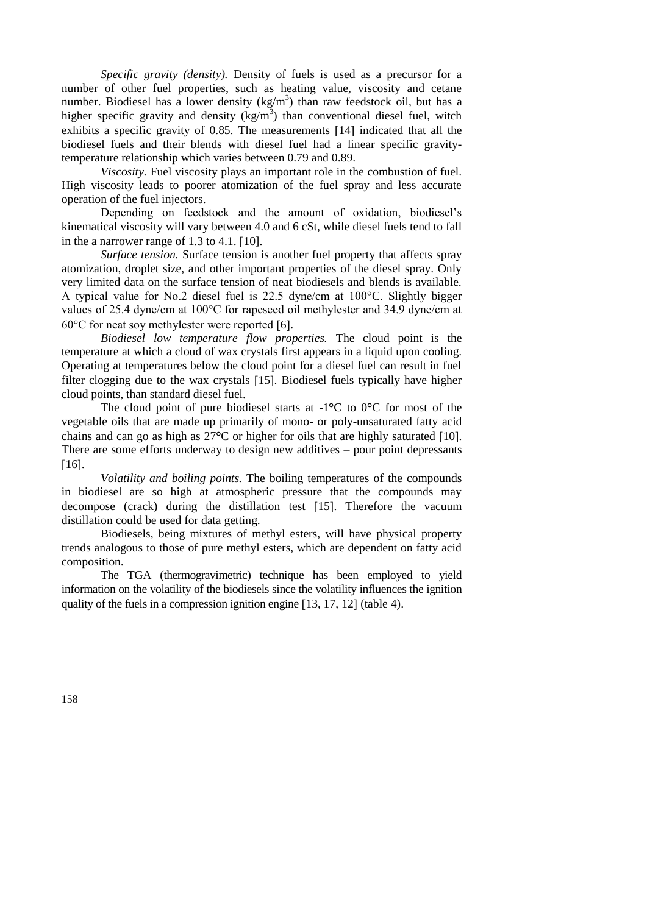*Specific gravity (density).* Density of fuels is used as a precursor for a number of other fuel properties, such as heating value, viscosity and cetane number. Biodiesel has a lower density  $(kg/m<sup>3</sup>)$  than raw feedstock oil, but has a higher specific gravity and density  $(kg/m<sup>3</sup>)$  than conventional diesel fuel, witch exhibits a specific gravity of 0.85. The measurements [14] indicated that all the biodiesel fuels and their blends with diesel fuel had a linear specific gravitytemperature relationship which varies between 0.79 and 0.89.

*Viscosity.* Fuel viscosity plays an important role in the combustion of fuel. High viscosity leads to poorer atomization of the fuel spray and less accurate operation of the fuel injectors.

Depending on feedstock and the amount of oxidation, biodiesel's kinematical viscosity will vary between 4.0 and 6 cSt, while diesel fuels tend to fall in the a narrower range of  $1.3$  to  $4.1$ . [10].

*Surface tension.* Surface tension is another fuel property that affects spray atomization, droplet size, and other important properties of the diesel spray. Only very limited data on the surface tension of neat biodiesels and blends is available. A typical value for No.2 diesel fuel is 22.5 dyne/cm at 100°C. Slightly bigger values of 25.4 dyne/cm at 100°C for rapeseed oil methylester and 34.9 dyne/cm at  $60^{\circ}$ C for neat soy methylester were reported [6].

*Biodiesel low temperature flow properties.* The cloud point is the temperature at which a cloud of wax crystals first appears in a liquid upon cooling. Operating at temperatures below the cloud point for a diesel fuel can result in fuel filter clogging due to the wax crystals [15]. Biodiesel fuels typically have higher cloud points, than standard diesel fuel.

The cloud point of pure biodiesel starts at -1**°**C to 0**°**C for most of the vegetable oils that are made up primarily of mono- or poly-unsaturated fatty acid chains and can go as high as 27**°**C or higher for oils that are highly saturated 10. There are some efforts underway to design new additives – pour point depressants  $[16]$ .

*Volatility and boiling points.* The boiling temperatures of the compounds in biodiesel are so high at atmospheric pressure that the compounds may decompose (crack) during the distillation test [15]. Therefore the vacuum distillation could be used for data getting.

Biodiesels, being mixtures of methyl esters, will have physical property trends analogous to those of pure methyl esters, which are dependent on fatty acid composition.

The TGA (thermogravimetric) technique has been employed to yield information on the volatility of the biodiesels since the volatility influences the ignition quality of the fuels in a compression ignition engine  $[13, 17, 12]$  (table 4).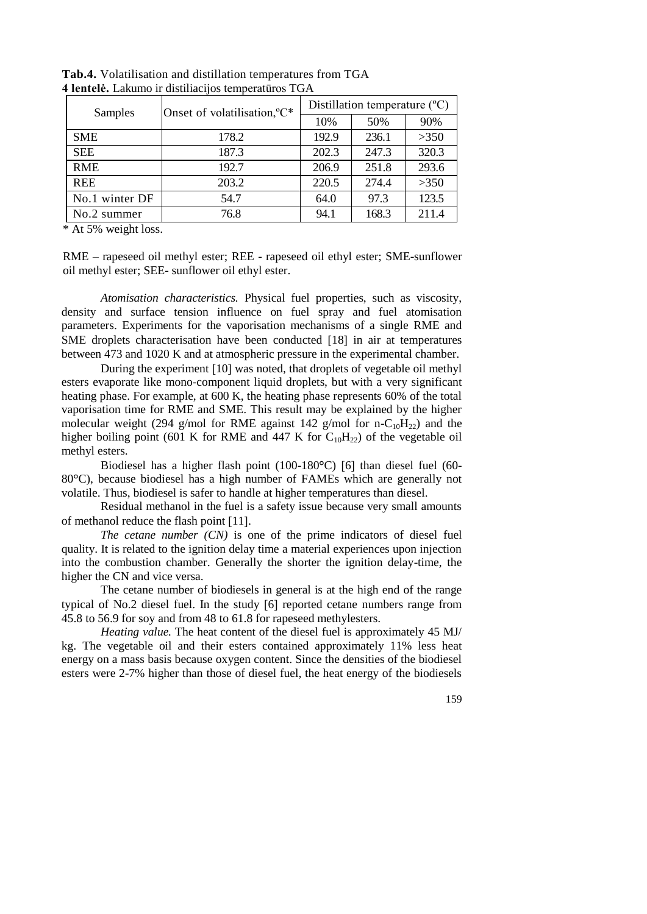| Samples        | Onset of volatilisation, °C* | Distillation temperature $({}^{\circ}C)$ |       |       |  |
|----------------|------------------------------|------------------------------------------|-------|-------|--|
|                |                              | 10%                                      | 50%   | 90%   |  |
| <b>SME</b>     | 178.2                        | 192.9                                    | 236.1 | >350  |  |
| <b>SEE</b>     | 187.3                        | 202.3                                    | 247.3 | 320.3 |  |
| <b>RME</b>     | 192.7                        | 206.9                                    | 251.8 | 293.6 |  |
| <b>REE</b>     | 203.2                        | 220.5                                    | 274.4 | >350  |  |
| No.1 winter DF | 54.7                         | 64.0                                     | 97.3  | 123.5 |  |
| No.2 summer    | 76.8                         | 94.1                                     | 168.3 | 211.4 |  |

**Tab.4.** Volatilisation and distillation temperatures from TGA **4 lentelė.** Lakumo ir distiliacijos temperatūros TGA

\* At 5% weight loss.

RME – rapeseed oil methyl ester; REE - rapeseed oil ethyl ester; SME-sunflower oil methyl ester; SEE- sunflower oil ethyl ester.

*Atomisation characteristics.* Physical fuel properties, such as viscosity, density and surface tension influence on fuel spray and fuel atomisation parameters. Experiments for the vaporisation mechanisms of a single RME and SME droplets characterisation have been conducted [18] in air at temperatures between 473 and 1020 K and at atmospheric pressure in the experimental chamber.

During the experiment [10] was noted, that droplets of vegetable oil methyl esters evaporate like mono-component liquid droplets, but with a very significant heating phase. For example, at 600 K, the heating phase represents 60% of the total vaporisation time for RME and SME. This result may be explained by the higher molecular weight (294 g/mol for RME against 142 g/mol for n-C<sub>10</sub>H<sub>22</sub>) and the higher boiling point (601 K for RME and 447 K for  $C_{10}H_{22}$ ) of the vegetable oil methyl esters.

Biodiesel has a higher flash point (100-180<sup>o</sup>C) [6] than diesel fuel (60-80**°**C), because biodiesel has a high number of FAMEs which are generally not volatile. Thus, biodiesel is safer to handle at higher temperatures than diesel.

Residual methanol in the fuel is a safety issue because very small amounts of methanol reduce the flash point [11].

*The cetane number (CN)* is one of the prime indicators of diesel fuel quality. It is related to the ignition delay time a material experiences upon injection into the combustion chamber. Generally the shorter the ignition delay-time, the higher the CN and vice versa.

The cetane number of biodiesels in general is at the high end of the range typical of No.2 diesel fuel. In the study [6] reported cetane numbers range from 45.8 to 56.9 for soy and from 48 to 61.8 for rapeseed methylesters.

*Heating value.* The heat content of the diesel fuel is approximately 45 MJ/ kg. The vegetable oil and their esters contained approximately 11% less heat energy on a mass basis because oxygen content. Since the densities of the biodiesel esters were 2-7% higher than those of diesel fuel, the heat energy of the biodiesels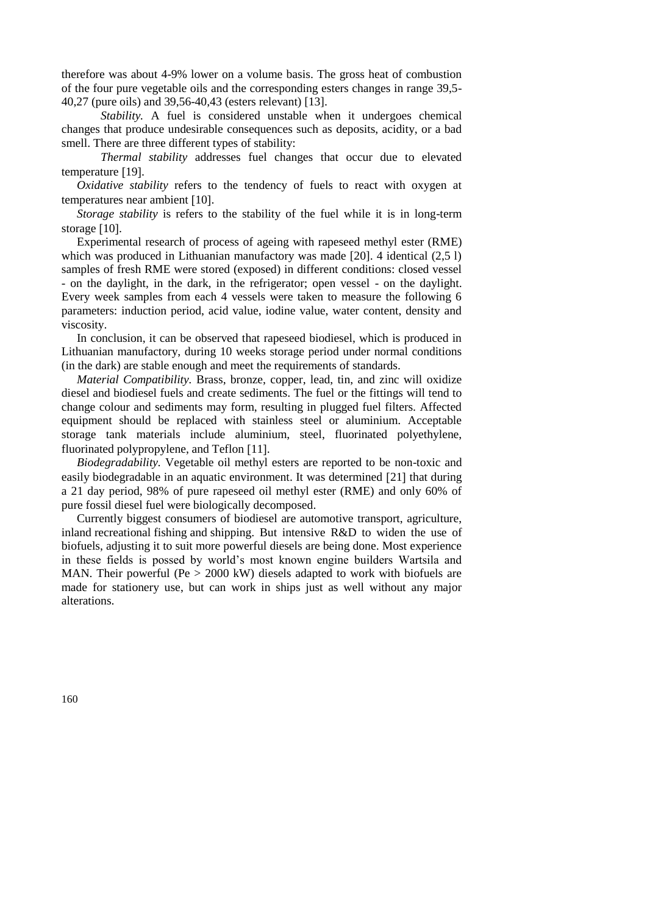therefore was about 4-9% lower on a volume basis. The gross heat of combustion of the four pure vegetable oils and the corresponding esters changes in range 39,5- 40,27 (pure oils) and 39,56-40,43 (esters relevant) [13].

*Stability*. A fuel is considered unstable when it undergoes chemical changes that produce undesirable consequences such as deposits, acidity, or a bad smell. There are three different types of stability:

*Thermal stability* addresses fuel changes that occur due to elevated temperature [19].

*Oxidative stability* refers to the tendency of fuels to react with oxygen at temperatures near ambient [10].

*Storage stability* is refers to the stability of the fuel while it is in long-term storage [10].

Experimental research of process of ageing with rapeseed methyl ester (RME) which was produced in Lithuanian manufactory was made [20]. 4 identical (2.5 l) samples of fresh RME were stored (exposed) in different conditions: closed vessel - on the daylight, in the dark, in the refrigerator; open vessel - on the daylight. Every week samples from each 4 vessels were taken to measure the following 6 parameters: induction period, acid value, iodine value, water content, density and viscosity.

In conclusion, it can be observed that rapeseed biodiesel, which is produced in Lithuanian manufactory, during 10 weeks storage period under normal conditions (in the dark) are stable enough and meet the requirements of standards.

*Material Compatibility.* Brass, bronze, copper, lead, tin, and zinc will oxidize diesel and biodiesel fuels and create sediments. The fuel or the fittings will tend to change colour and sediments may form, resulting in plugged fuel filters. Affected equipment should be replaced with stainless steel or aluminium. Acceptable storage tank materials include aluminium, steel, fluorinated polyethylene, fluorinated polypropylene, and Teflon [11].

*Biodegradability.* Vegetable oil methyl esters are reported to be non-toxic and easily biodegradable in an aquatic environment. It was determined [21] that during a 21 day period, 98% of pure rapeseed oil methyl ester (RME) and only 60% of pure fossil diesel fuel were biologically decomposed.

Currently biggest consumers of biodiesel are automotive transport, agriculture, inland recreational fishing and shipping. But intensive R&D to widen the use of biofuels, adjusting it to suit more powerful diesels are being done. Most experience in these fields is possed by world's most known engine builders Wartsila and MAN. Their powerful (Pe > 2000 kW) diesels adapted to work with biofuels are made for stationery use, but can work in ships just as well without any major alterations.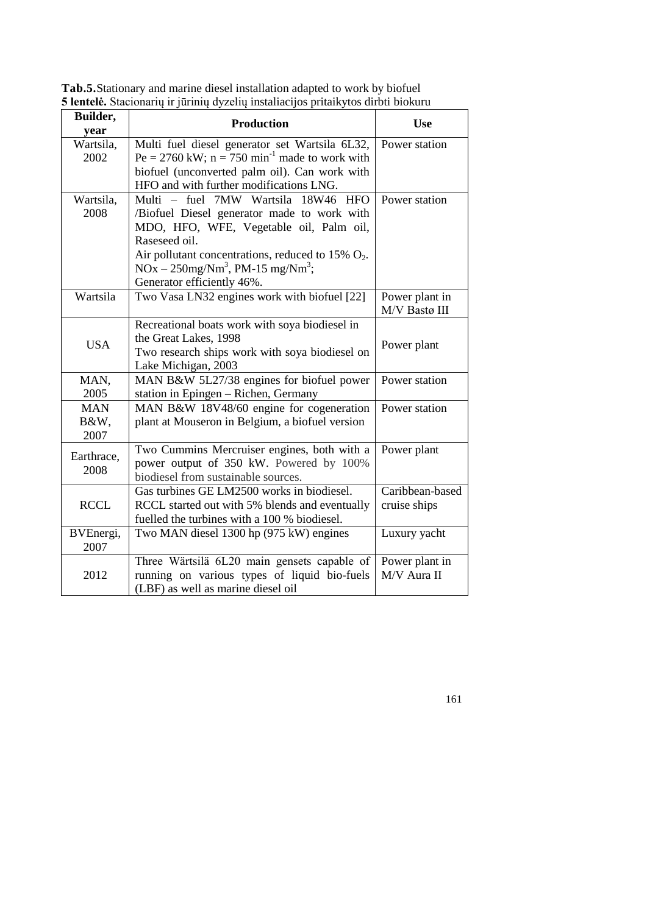| Builder,<br>year  | <b>Production</b>                                                          | <b>Use</b>                      |
|-------------------|----------------------------------------------------------------------------|---------------------------------|
| Wartsila,         | Multi fuel diesel generator set Wartsila 6L32,                             | Power station                   |
| 2002              | $Pe = 2760$ kW; $n = 750$ min <sup>-1</sup> made to work with              |                                 |
|                   | biofuel (unconverted palm oil). Can work with                              |                                 |
|                   | HFO and with further modifications LNG.                                    |                                 |
| Wartsila,         | Multi - fuel 7MW Wartsila<br>18W46<br><b>HFO</b>                           | Power station                   |
| 2008              | /Biofuel Diesel generator made to work with                                |                                 |
|                   | MDO, HFO, WFE, Vegetable oil, Palm oil,                                    |                                 |
|                   | Raseseed oil.                                                              |                                 |
|                   | Air pollutant concentrations, reduced to 15% $O_2$ .                       |                                 |
|                   | $NOx - 250mg/Nm3$ , PM-15 mg/Nm <sup>3</sup> ;                             |                                 |
| Wartsila          | Generator efficiently 46%.<br>Two Vasa LN32 engines work with biofuel [22] |                                 |
|                   |                                                                            | Power plant in<br>M/V Bastø III |
|                   | Recreational boats work with soya biodiesel in                             |                                 |
|                   | the Great Lakes, 1998                                                      |                                 |
| <b>USA</b>        | Two research ships work with soya biodiesel on                             | Power plant                     |
|                   | Lake Michigan, 2003                                                        |                                 |
| MAN,              | MAN B&W 5L27/38 engines for biofuel power                                  | Power station                   |
| 2005              | station in Epingen - Richen, Germany                                       |                                 |
| <b>MAN</b>        | MAN B&W 18V48/60 engine for cogeneration                                   | Power station                   |
| B&W,              | plant at Mouseron in Belgium, a biofuel version                            |                                 |
| 2007              |                                                                            |                                 |
| Earthrace,        | Two Cummins Mercruiser engines, both with a                                | Power plant                     |
| 2008              | power output of 350 kW. Powered by 100%                                    |                                 |
|                   | biodiesel from sustainable sources.                                        |                                 |
|                   | Gas turbines GE LM2500 works in biodiesel.                                 | Caribbean-based                 |
| <b>RCCL</b>       | RCCL started out with 5% blends and eventually                             | cruise ships                    |
|                   | fuelled the turbines with a 100 % biodiesel.                               |                                 |
| BVEnergi,<br>2007 | Two MAN diesel 1300 hp (975 kW) engines                                    | Luxury yacht                    |
|                   | Three Wärtsilä 6L20 main gensets capable of                                | Power plant in                  |
| 2012              | running on various types of liquid bio-fuels                               | M/V Aura II                     |
|                   | (LBF) as well as marine diesel oil                                         |                                 |

**Tab.5.**Stationary and marine diesel installation adapted to work by biofuel **5 lentelė.** Stacionarių ir jūrinių dyzelių instaliacijos pritaikytos dirbti biokuru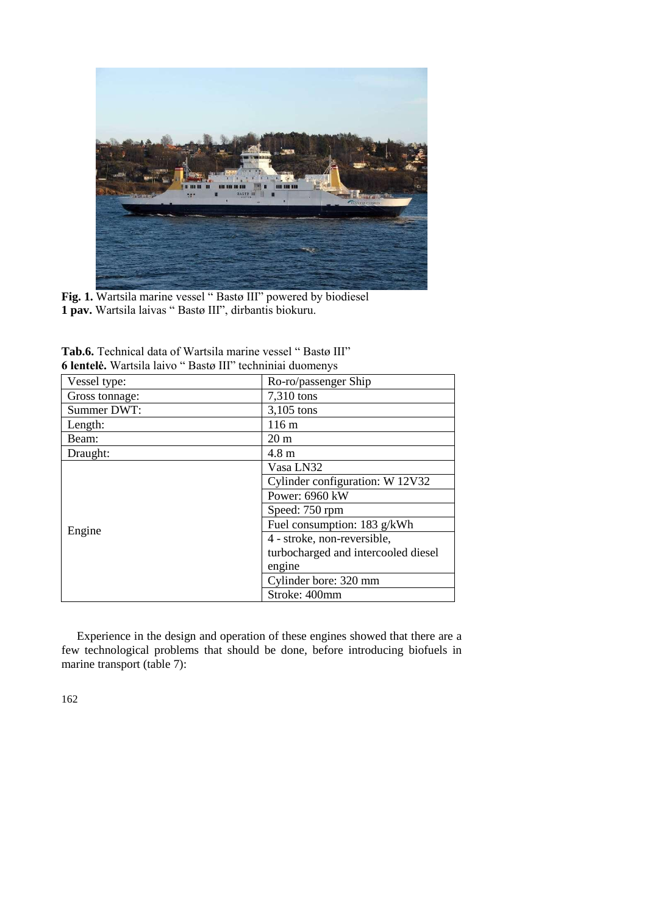

**Fig. 1.** Wartsila marine vessel " Bastø III" powered by biodiesel **1 pav.** Wartsila laivas " Bastø III", dirbantis biokuru.

| <b>U refluere.</b> Wallstid fally Dasu III Refluiting dubitionlys |                                     |
|-------------------------------------------------------------------|-------------------------------------|
| Vessel type:                                                      | Ro-ro/passenger Ship                |
| Gross tonnage:                                                    | 7,310 tons                          |
| Summer DWT:                                                       | 3,105 tons                          |
| Length:                                                           | 116 m                               |
| Beam:                                                             | 20 <sub>m</sub>                     |
| Draught:                                                          | $4.8 \text{ m}$                     |
|                                                                   | Vasa LN32                           |
|                                                                   | Cylinder configuration: W 12V32     |
|                                                                   | Power: 6960 kW                      |
|                                                                   | Speed: 750 rpm                      |
|                                                                   | Fuel consumption: 183 g/kWh         |
| Engine                                                            | 4 - stroke, non-reversible,         |
|                                                                   | turbocharged and intercooled diesel |
|                                                                   | engine                              |
|                                                                   | Cylinder bore: 320 mm               |
|                                                                   | Stroke: 400mm                       |

**Tab.6.** Technical data of Wartsila marine vessel " Bastø III" **6 lentelė.** Wartsila laivo " Bastø III" techniniai duomenys

Experience in the design and operation of these engines showed that there are a few technological problems that should be done, before introducing biofuels in marine transport (table 7):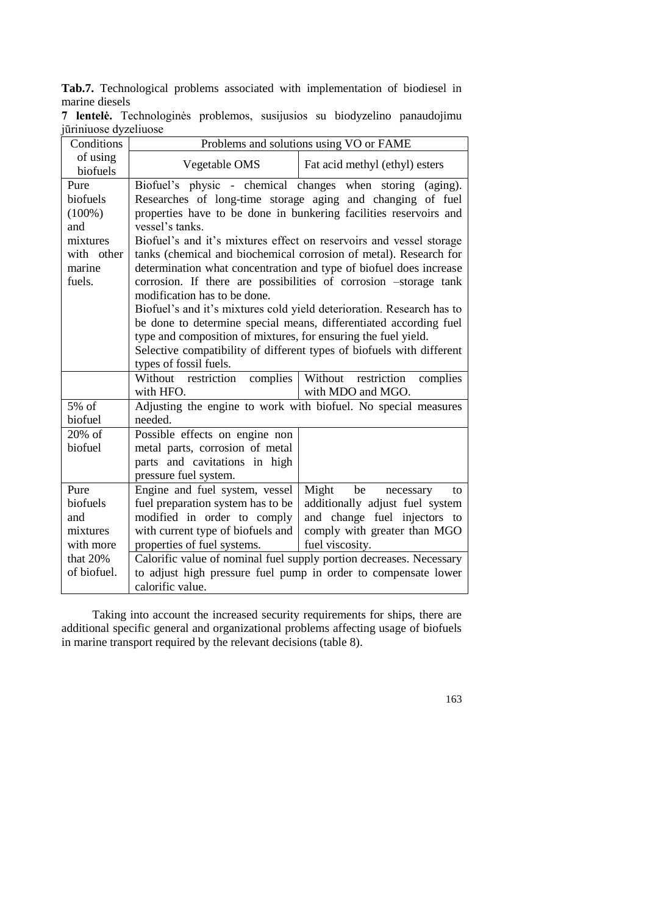**Tab.7.** Technological problems associated with implementation of biodiesel in marine diesels

| Conditions                                                                         | Problems and solutions using VO or FAME                                                                                                                                                         |                                                                                                                                                                                                                                                                                                                                                                                                                                                                                                                                                                                                                                                          |  |  |  |  |  |  |  |
|------------------------------------------------------------------------------------|-------------------------------------------------------------------------------------------------------------------------------------------------------------------------------------------------|----------------------------------------------------------------------------------------------------------------------------------------------------------------------------------------------------------------------------------------------------------------------------------------------------------------------------------------------------------------------------------------------------------------------------------------------------------------------------------------------------------------------------------------------------------------------------------------------------------------------------------------------------------|--|--|--|--|--|--|--|
| of using<br>biofuels                                                               | Vegetable OMS                                                                                                                                                                                   | Fat acid methyl (ethyl) esters                                                                                                                                                                                                                                                                                                                                                                                                                                                                                                                                                                                                                           |  |  |  |  |  |  |  |
| Pure<br>biofuels<br>$(100\%)$<br>and<br>mixtures<br>with other<br>marine<br>fuels. | Biofuel's physic - chemical changes when storing<br>vessel's tanks.<br>modification has to be done.<br>type and composition of mixtures, for ensuring the fuel yield.<br>types of fossil fuels. | (aging).<br>Researches of long-time storage aging and changing of fuel<br>properties have to be done in bunkering facilities reservoirs and<br>Biofuel's and it's mixtures effect on reservoirs and vessel storage<br>tanks (chemical and biochemical corrosion of metal). Research for<br>determination what concentration and type of biofuel does increase<br>corrosion. If there are possibilities of corrosion -storage tank<br>Biofuel's and it's mixtures cold yield deterioration. Research has to<br>be done to determine special means, differentiated according fuel<br>Selective compatibility of different types of biofuels with different |  |  |  |  |  |  |  |
|                                                                                    | Without restriction<br>complies<br>with HFO.                                                                                                                                                    | Without<br>restriction<br>complies<br>with MDO and MGO.                                                                                                                                                                                                                                                                                                                                                                                                                                                                                                                                                                                                  |  |  |  |  |  |  |  |
| 5% of<br>biofuel                                                                   | needed.                                                                                                                                                                                         | Adjusting the engine to work with biofuel. No special measures                                                                                                                                                                                                                                                                                                                                                                                                                                                                                                                                                                                           |  |  |  |  |  |  |  |
| 20% of<br>biofuel                                                                  | Possible effects on engine non<br>metal parts, corrosion of metal<br>parts and cavitations in high<br>pressure fuel system.                                                                     |                                                                                                                                                                                                                                                                                                                                                                                                                                                                                                                                                                                                                                                          |  |  |  |  |  |  |  |
| Pure<br>biofuels<br>and<br>mixtures<br>with more<br>that 20%                       | Engine and fuel system, vessel<br>fuel preparation system has to be<br>modified in order to comply<br>with current type of biofuels and<br>properties of fuel systems.                          | Might<br>be<br>necessary<br>to<br>additionally adjust fuel system<br>and change fuel injectors to<br>comply with greater than MGO<br>fuel viscosity.<br>Calorific value of nominal fuel supply portion decreases. Necessary                                                                                                                                                                                                                                                                                                                                                                                                                              |  |  |  |  |  |  |  |
| of biofuel.                                                                        | calorific value.                                                                                                                                                                                | to adjust high pressure fuel pump in order to compensate lower                                                                                                                                                                                                                                                                                                                                                                                                                                                                                                                                                                                           |  |  |  |  |  |  |  |

**7 lentelė.** Technologinės problemos, susijusios su biodyzelino panaudojimu jūriniuose dyzeliuose

Taking into account the increased security requirements for ships, there are additional specific general and organizational problems affecting usage of biofuels in marine transport required by the relevant decisions (table 8).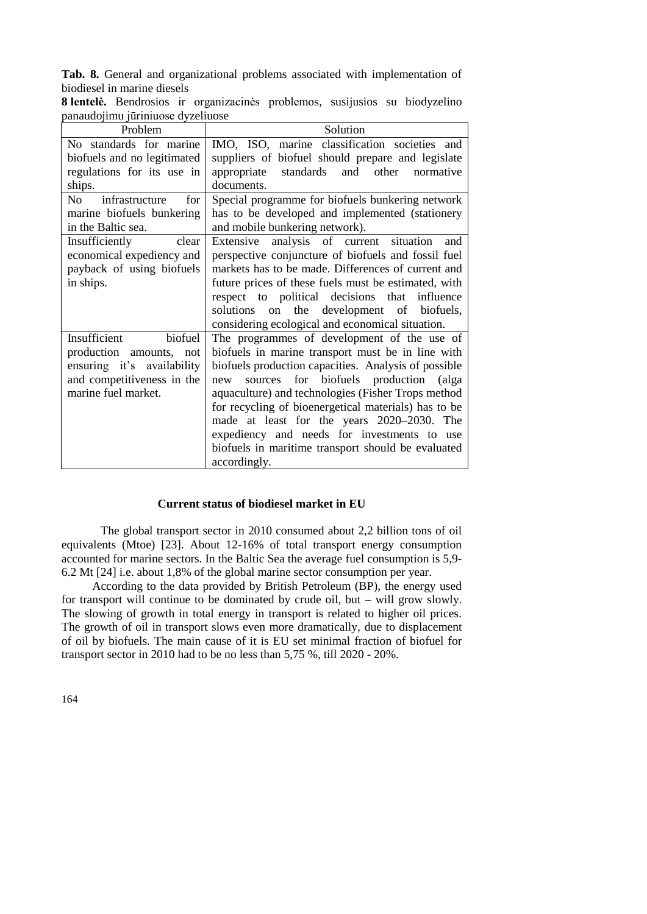**Tab. 8.** General and organizational problems associated with implementation of biodiesel in marine diesels

| Problem                                       | Solution                                             |  |  |  |  |  |
|-----------------------------------------------|------------------------------------------------------|--|--|--|--|--|
| No standards for marine                       | IMO, ISO, marine classification societies and        |  |  |  |  |  |
| biofuels and no legitimated                   | suppliers of biofuel should prepare and legislate    |  |  |  |  |  |
| regulations for its use in                    | appropriate standards<br>and other<br>normative      |  |  |  |  |  |
| ships.                                        | documents.                                           |  |  |  |  |  |
| infrastructure<br>for<br>No the North Street. | Special programme for biofuels bunkering network     |  |  |  |  |  |
| marine biofuels bunkering                     | has to be developed and implemented (stationery      |  |  |  |  |  |
| in the Baltic sea.                            | and mobile bunkering network).                       |  |  |  |  |  |
| Insufficiently clear                          | Extensive analysis of current situation<br>and       |  |  |  |  |  |
| economical expediency and                     | perspective conjuncture of biofuels and fossil fuel  |  |  |  |  |  |
| payback of using biofuels                     | markets has to be made. Differences of current and   |  |  |  |  |  |
| in ships.                                     | future prices of these fuels must be estimated, with |  |  |  |  |  |
|                                               | respect to political decisions that influence        |  |  |  |  |  |
|                                               | solutions on the development of biofuels,            |  |  |  |  |  |
|                                               | considering ecological and economical situation.     |  |  |  |  |  |
| Insufficient<br>biofuel                       | The programmes of development of the use of          |  |  |  |  |  |
| production amounts, not                       | biofuels in marine transport must be in line with    |  |  |  |  |  |
| ensuring it's availability                    | biofuels production capacities. Analysis of possible |  |  |  |  |  |
| and competitiveness in the                    | sources for biofuels production (alga<br>new         |  |  |  |  |  |
| marine fuel market.                           | aquaculture) and technologies (Fisher Trops method   |  |  |  |  |  |
|                                               | for recycling of bioenergetical materials) has to be |  |  |  |  |  |
|                                               | made at least for the years 2020–2030. The           |  |  |  |  |  |
|                                               | expediency and needs for investments to use          |  |  |  |  |  |
|                                               | biofuels in maritime transport should be evaluated   |  |  |  |  |  |
|                                               | accordingly.                                         |  |  |  |  |  |

**8 lentelė.** Bendrosios ir organizacinės problemos, susijusios su biodyzelino panaudojimu jūriniuose dyzeliuose

## **Current status of biodiesel market in EU**

The global transport sector in 2010 consumed about 2,2 billion tons of oil equivalents (Mtoe) [23]. About 12-16% of total transport energy consumption accounted for marine sectors. In the Baltic Sea the average fuel consumption is 5,9- 6.2 Mt [24] i.e. about 1,8% of the global marine sector consumption per year.

According to the data provided by British Petroleum (BP), the energy used for transport will continue to be dominated by crude oil, but – will grow slowly. The slowing of growth in total energy in transport is related to higher oil prices. The growth of oil in transport slows even more dramatically, due to displacement of oil by biofuels. The main cause of it is EU set minimal fraction of biofuel for transport sector in 2010 had to be no less than 5,75 %, till 2020 - 20%.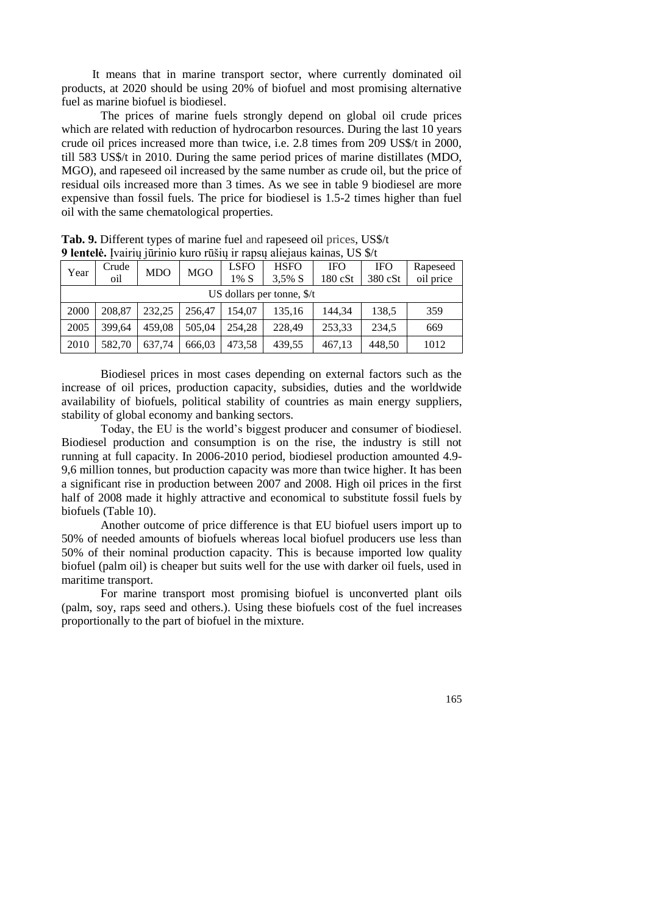It means that in marine transport sector, where currently dominated oil products, at 2020 should be using 20% of biofuel and most promising alternative fuel as marine biofuel is biodiesel.

The prices of marine fuels strongly depend on global oil crude prices which are related with reduction of hydrocarbon resources. During the last 10 years crude oil prices increased more than twice, i.e. 2.8 times from 209 US\$/t in 2000, till 583 US\$/t in 2010. During the same period prices of marine distillates (MDO, MGO), and rapeseed oil increased by the same number as crude oil, but the price of residual oils increased more than 3 times. As we see in table 9 biodiesel are more expensive than fossil fuels. The price for biodiesel is 1.5-2 times higher than fuel oil with the same chematological properties.

|      | 2 IUNUU 1991 JAARD AHU LUSU ILEE ARAHA AHU KANAS, OS 9/1 |            |            |             |             |            |            |           |  |
|------|----------------------------------------------------------|------------|------------|-------------|-------------|------------|------------|-----------|--|
| Year | Crude                                                    | <b>MDO</b> | <b>MGO</b> | <b>LSFO</b> | <b>HSFO</b> | <b>IFO</b> | <b>IFO</b> | Rapeseed  |  |
|      | oil                                                      |            |            | $1\%$ S     | $3,5\%$ S   | 180 cSt    | 380 cSt    | oil price |  |
|      | US dollars per tonne, $\frac{s}{t}$                      |            |            |             |             |            |            |           |  |
| 2000 | 208.87                                                   | 232.25     | 256.47     | 154.07      | 135,16      | 144.34     | 138,5      | 359       |  |
| 2005 | 399.64                                                   | 459.08     | 505.04     | 254.28      | 228.49      | 253.33     | 234.5      | 669       |  |
| 2010 | 582.70                                                   | 637.74     | 666.03     | 473,58      | 439,55      | 467,13     | 448,50     | 1012      |  |

**Tab. 9.** Different types of marine fuel and rapeseed oil prices, US\$/t **9 lentelė.** Įvairių jūrinio kuro rūšių ir rapsų aliejaus kainas, US \$/t

Biodiesel prices in most cases depending on external factors such as the increase of oil prices, production capacity, subsidies, duties and the worldwide availability of biofuels, political stability of countries as main energy suppliers, stability of global economy and banking sectors.

Today, the EU is the world's biggest producer and consumer of biodiesel. Biodiesel production and consumption is on the rise, the industry is still not running at full capacity. In 2006-2010 period, biodiesel production amounted 4.9- 9,6 million tonnes, but production capacity was more than twice higher. It has been a significant rise in production between 2007 and 2008. High oil prices in the first half of 2008 made it highly attractive and economical to substitute fossil fuels by biofuels (Table 10).

Another outcome of price difference is that EU biofuel users import up to 50% of needed amounts of biofuels whereas local biofuel producers use less than 50% of their nominal production capacity. This is because imported low quality biofuel (palm oil) is cheaper but suits well for the use with darker oil fuels, used in maritime transport.

For marine transport most promising biofuel is unconverted plant oils (palm, soy, raps seed and others.). Using these biofuels cost of the fuel increases proportionally to the part of biofuel in the mixture.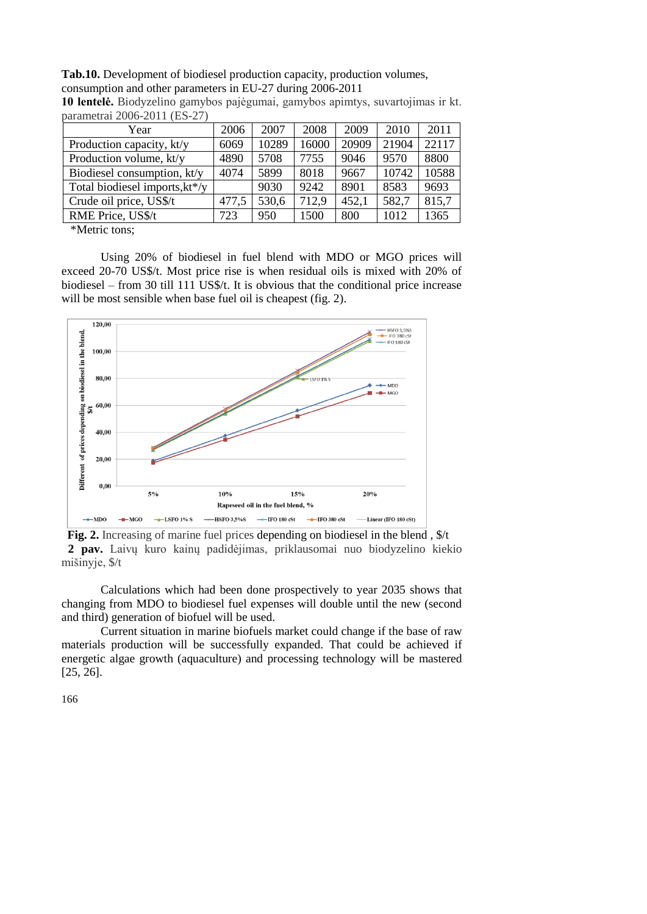**Tab.10.** Development of biodiesel production capacity, production volumes, consumption and other parameters in EU-27 during 2006-2011

| $\mu$ aramcu ar 2000-2011 (125-27) |       |       |       |       |       |       |
|------------------------------------|-------|-------|-------|-------|-------|-------|
| Year                               | 2006  | 2007  | 2008  | 2009  | 2010  | 2011  |
| Production capacity, kt/y          | 6069  | 10289 | 16000 | 20909 | 21904 | 22117 |
| Production volume, kt/y            | 4890  | 5708  | 7755  | 9046  | 9570  | 8800  |
| Biodiesel consumption, kt/y        | 4074  | 5899  | 8018  | 9667  | 10742 | 10588 |
| Total biodiesel imports, kt*/y     |       | 9030  | 9242  | 8901  | 8583  | 9693  |
| Crude oil price, US\$/t            | 477,5 | 530,6 | 712,9 | 452,1 | 582,7 | 815,7 |
| RME Price, US\$/t                  | 723   | 950   | 1500  | 800   | 1012  | 1365  |
| $\mathbf{v}$                       |       |       |       |       |       |       |

**10 lentelė.** Biodyzelino gamybos pajėgumai, gamybos apimtys, suvartojimas ir kt. parametrai 2006-2011 (ES-27)

\*Metric tons;

Using 20% of biodiesel in fuel blend with MDO or MGO prices will exceed 20-70 US\$/t. Most price rise is when residual oils is mixed with 20% of biodiesel – from 30 till 111 US\$/t. It is obvious that the conditional price increase will be most sensible when base fuel oil is cheapest (fig. 2).



Fig. 2. Increasing of marine fuel prices depending on biodiesel in the blend,  $\frac{f}{f}$ **2 pav.** Laivų kuro kainų padidėjimas, priklausomai nuo biodyzelino kiekio mišinyje, \$/t

Calculations which had been done prospectively to year 2035 shows that changing from MDO to biodiesel fuel expenses will double until the new (second and third) generation of biofuel will be used.

Current situation in marine biofuels market could change if the base of raw materials production will be successfully expanded. That could be achieved if energetic algae growth (aquaculture) and processing technology will be mastered [25, 26].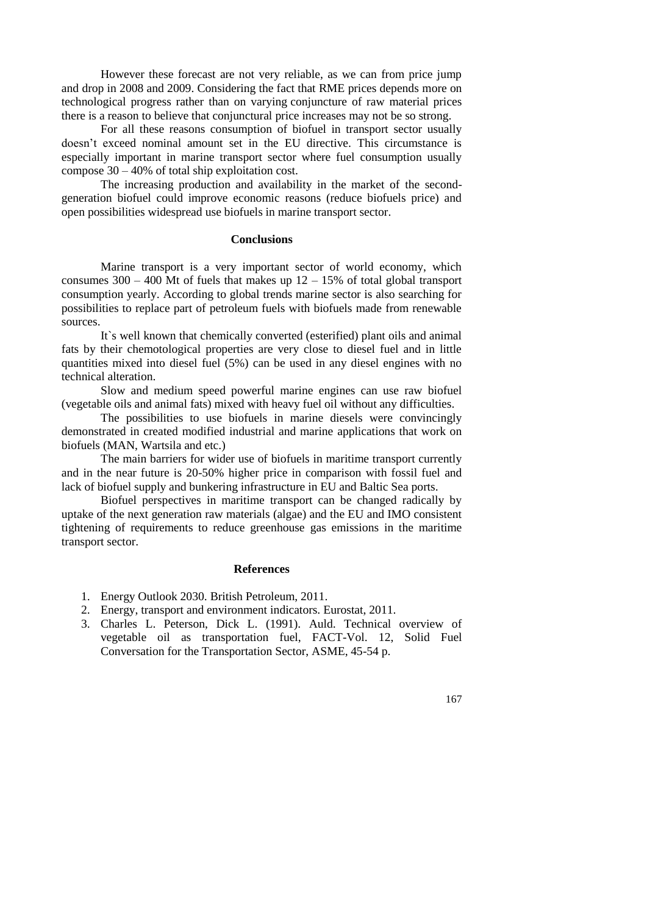However these forecast are not very reliable, as we can from price jump and drop in 2008 and 2009. Considering the fact that RME prices depends more on technological progress rather than on varying conjuncture of raw material prices there is a reason to believe that conjunctural price increases may not be so strong.

For all these reasons consumption of biofuel in transport sector usually doesn't exceed nominal amount set in the EU directive. This circumstance is especially important in marine transport sector where fuel consumption usually compose 30 – 40% of total ship exploitation cost.

The increasing production and availability in the market of the secondgeneration biofuel could improve economic reasons (reduce biofuels price) and open possibilities widespread use biofuels in marine transport sector.

# **Conclusions**

Marine transport is a very important sector of world economy, which consumes  $300 - 400$  Mt of fuels that makes up  $12 - 15%$  of total global transport consumption yearly. According to global trends marine sector is also searching for possibilities to replace part of petroleum fuels with biofuels made from renewable sources.

It`s well known that chemically converted (esterified) plant oils and animal fats by their chemotological properties are very close to diesel fuel and in little quantities mixed into diesel fuel (5%) can be used in any diesel engines with no technical alteration.

Slow and medium speed powerful marine engines can use raw biofuel (vegetable oils and animal fats) mixed with heavy fuel oil without any difficulties.

The possibilities to use biofuels in marine diesels were convincingly demonstrated in created modified industrial and marine applications that work on biofuels (MAN, Wartsila and etc.)

The main barriers for wider use of biofuels in maritime transport currently and in the near future is 20-50% higher price in comparison with fossil fuel and lack of biofuel supply and bunkering infrastructure in EU and Baltic Sea ports.

Biofuel perspectives in maritime transport can be changed radically by uptake of the next generation raw materials (algae) and the EU and IMO consistent tightening of requirements to reduce greenhouse gas emissions in the maritime transport sector.

### **References**

- 1. Energy Outlook 2030. British Petroleum, 2011.
- 2. Energy, transport and environment indicators. Eurostat, 2011.
- 3. Charles L. Peterson, Dick L. (1991). Auld. Technical overview of vegetable oil as transportation fuel, FACT-Vol. 12, Solid Fuel Conversation for the Transportation Sector, ASME, 45-54 p.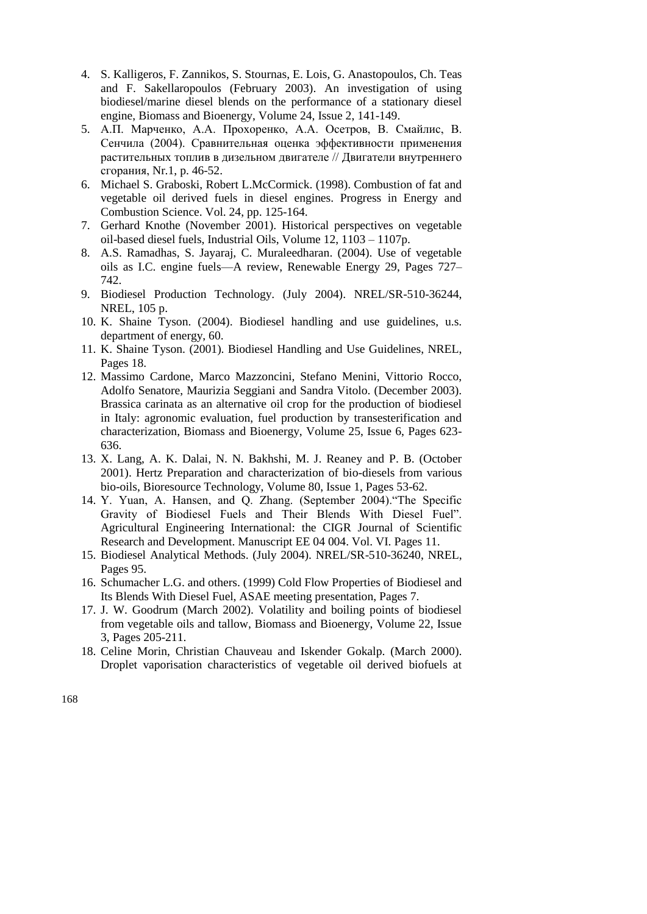- 4. S. Kalligeros, F. Zannikos, S. Stournas, E. Lois, G. Anastopoulos, Ch. Teas and F. Sakellaropoulos (February 2003). An investigation of using biodiesel/marine diesel blends on the performance of a stationary diesel engine, Biomass and Bioenergy, Volume 24, Issue 2, 141-149.
- 5. А.П. Марченко, А.А. Прохоренко, А.А. Осетров, В. Смайлис, В. Сенчила (2004). Сравнительная оценка эффективности применения растительных топлив в дизельном двигателе // Двигатели внутреннего сгорания, Nr.1, p. 46-52.
- 6. Michael S. Graboski, Robert L.McCormick. (1998). Combustion of fat and vegetable oil derived fuels in diesel engines. Progress in Energy and Combustion Science. Vol. 24, pp. 125-164.
- 7. Gerhard Knothe (November 2001). Historical perspectives on vegetable oil-based diesel fuels, Industrial Oils, Volume 12, 1103 – 1107p.
- 8. A.S. Ramadhas, S. Jayaraj, C. Muraleedharan. (2004). Use of vegetable oils as I.C. engine fuels—A review, Renewable Energy 29, Pages 727– 742.
- 9. Biodiesel Production Technology. (July 2004). NREL/SR-510-36244, NREL, 105 p.
- 10. K. Shaine Tyson. (2004). Biodiesel handling and use guidelines, u.s. department of energy, 60.
- 11. K. Shaine Tyson. (2001). Biodiesel Handling and Use Guidelines, NREL, Pages 18.
- 12. Massimo Cardone, Marco Mazzoncini, Stefano Menini, Vittorio Rocco, Adolfo Senatore, Maurizia Seggiani and Sandra Vitolo. (December 2003). Brassica carinata as an alternative oil crop for the production of biodiesel in Italy: agronomic evaluation, fuel production by transesterification and characterization, Biomass and Bioenergy, Volume 25, Issue 6, Pages 623- 636.
- 13. X. Lang, A. K. Dalai, N. N. Bakhshi, M. J. Reaney and P. B. (October 2001). Hertz Preparation and characterization of bio-diesels from various bio-oils, Bioresource Technology, Volume 80, Issue 1, Pages 53-62.
- 14. Y. Yuan, A. Hansen, and Q. Zhang. (September 2004)."The Specific Gravity of Biodiesel Fuels and Their Blends With Diesel Fuel". Agricultural Engineering International: the CIGR Journal of Scientific Research and Development. Manuscript EE 04 004. Vol. VI. Pages 11.
- 15. Biodiesel Analytical Methods. (July 2004). NREL/SR-510-36240, NREL, Pages 95.
- 16. Schumacher L.G. and others. (1999) Cold Flow Properties of Biodiesel and Its Blends With Diesel Fuel, ASAE meeting presentation, Pages 7.
- 17. J. W. Goodrum (March 2002). Volatility and boiling points of biodiesel from vegetable oils and tallow, Biomass and Bioenergy, Volume 22, Issue 3, Pages 205-211.
- 18. Celine Morin, Christian Chauveau and Iskender Gokalp. (March 2000). Droplet vaporisation characteristics of vegetable oil derived biofuels at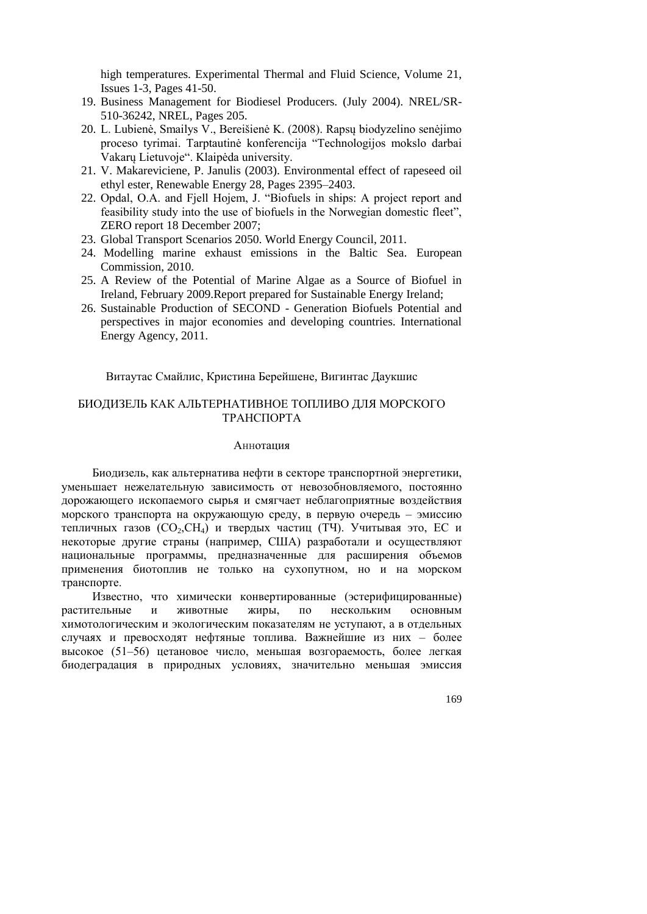high temperatures. Experimental Thermal and Fluid Science, Volume 21, Issues 1-3, Pages 41-50.

- 19. Business Management for Biodiesel Producers. (July 2004). NREL/SR-510-36242, NREL, Pages 205.
- 20. L. Lubienė, Smailys V., Bereišienė K. (2008). Rapsų biodyzelino senėjimo proceso tyrimai. Tarptautinė konferencija "Technologijos mokslo darbai Vakarų Lietuvoje". Klaipėda university.
- 21. V. Makareviciene, P. Janulis (2003). Environmental effect of rapeseed oil ethyl ester, Renewable Energy 28, Pages 2395–2403.
- 22. Opdal, O.A. and Fjell Hojem, J. "Biofuels in ships: A project report and feasibility study into the use of biofuels in the Norwegian domestic fleet", ZERO report 18 December 2007;
- 23. Global Transport Scenarios 2050. World Energy Council, 2011.
- 24. Modelling marine exhaust emissions in the Baltic Sea. European Commission, 2010.
- 25. A Review of the Potential of Marine Algae as a Source of Biofuel in Ireland, February 2009.Report prepared for Sustainable Energy Ireland;
- 26. Sustainable Production of SECOND Generation Biofuels Potential and perspectives in major economies and developing countries. International Energy Agency, 2011.

Витаутас Смайлис, Кристина Берейшене, Вигинтас Даукшис

# БИОДИЗЕЛЬ КАК АЛЬТЕРНАТИВНОЕ ТОПЛИВО ДЛЯ МОРСКОГО ТРАНСПОРТА

## Аннотация

Биодизель, как альтернатива нефти в секторе транспортной энергетики, уменьшает нежелательную зависимость от невозобновляемого, постоянно дорожающего ископаемого сырья и смягчает неблагоприятные воздействия морского транспорта на окружающую среду, в первую очередь – эмиссию тепличных газов (СО<sub>2</sub>, СН<sub>4</sub>) и твердых частиц (ТЧ). Учитывая это, ЕС и некоторые другие страны (например, США) разработали и осуществляют национальные программы, предназначенные для расширения объемов применения биотоплив не только на сухопутном, но и на морском транспорте.

Известно, что химически конвертированные (эстерифицированные) растительные и животные жиры, по нескольким основным химотологическим и экологическим показателям не уступают, а в отдельных случаях и превосходят нефтяные топлива. Важнейшие из них – более высокое (51–56) цетановое число, меньшая возгораемость, более легкая биодеградация в природных условиях, значительно меньшая эмиссия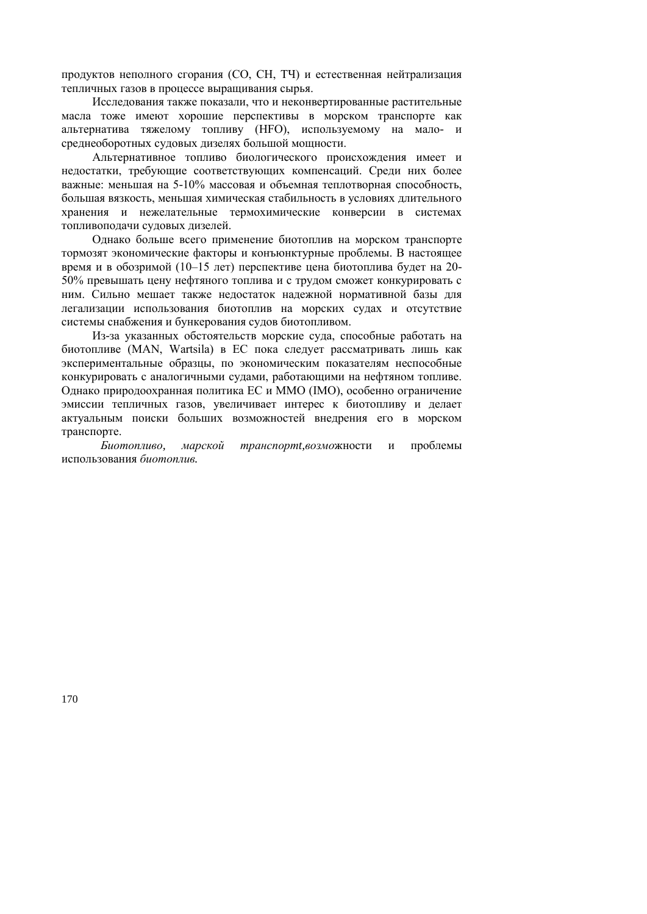продуктов неполного сгорания (СО, СН, ТЧ) и естественная нейтрализация тепличных газов в процессе выращивания сырья.

Исследования также показали, что и неконвертированные растительные масла тоже имеют хорошие перспективы в морском транспорте как альтернатива тяжелому топливу (HFO), используемому на мало- и среднеоборотных судовых дизелях большой мощности.

Альтернативное топливо биологического происхождения имеет и недостатки, требующие соответствующих компенсаций. Среди них более важные: меньшая на 5-10% массовая и объемная теплотворная способность, большая вязкость, меньшая химическая стабильность в условиях длительного хранения и нежелательные термохимические конверсии в системах топливоподачи судовых дизелей.

Однако больше всего применение биотоплив на морском транспорте тормозят экономические факторы и конъюнктурные проблемы. В настоящее время и в обозримой (10–15 лет) перспективе цена биотоплива будет на 20- 50% превышать цену нефтяного топлива и с трудом сможет конкурировать с ним. Сильно мешает также недостаток надежной нормативной базы для легализации использования биотоплив на морских судах и отсутствие системы снабжения и бункерования судов биотопливом.

Из-за указанных обстоятельств морские суда, способные работать на биотопливе (MAN, Wartsila) в ЕС пока следует рассматривать лишь как экспериментальные образцы, по экономическим показателям неспособные конкурировать с аналогичными судами, работающими на нефтяном топливе. Однако природоохранная политика ЕС и ММО (IМО), особенно ограничение эмиссии тепличных газов, увеличивает интерес к биотопливу и делает актуальным поиски больших возможностей внедрения его в морском транспорте.

*Биотопливо, марской транспортt,возмо*жности и проблемы использования *биотоплив.*